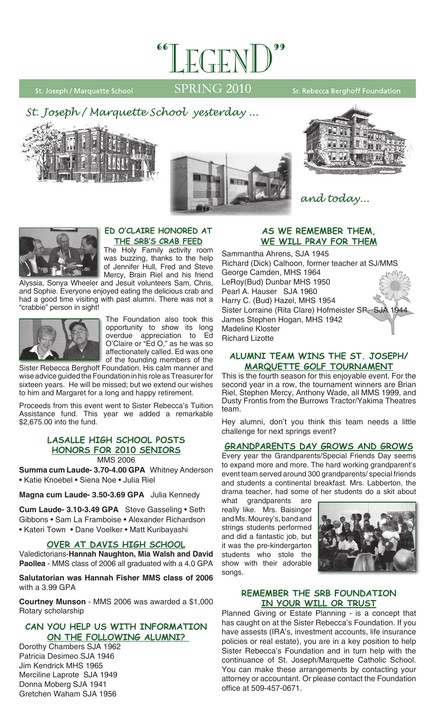

St. Joseph / Marquette School

# SPRING 2010

Sr. Rebecca Berghoff Foundation









### **Ed O'Claire Honored at the SRB's Crab Feed**

The Holy Family activity room was buzzing, thanks to the help of Jennifer Hull, Fred and Steve Mercy, Brain Riel and his friend

Alyssia, Sonya Wheeler and Jesuit volunteers Sam, Chris, and Sophie. Everyone enjoyed eating the delicious crab and had a good time visiting with past alumni. There was not a "crabbie" person in sight!



The Foundation also took this opportunity to show its long overdue appreciation to Ed O'Claire or "Ed O," as he was so affectionately called. Ed was one of the founding members of the

Sister Rebecca Berghoff Foundation. His calm manner and wise advice guided the Foundation in his role as Treasurer for sixteen years. He will be missed; but we extend our wishes to him and Margaret for a long and happy retirement.

Proceeds from this event went to Sister Rebecca's Tuition Assistance fund. This year we added a remarkable \$2,675.00 into the fund.

### **LaSalle High School posts honors for 2010 seniors**

MMS 2006

**Summa cum Laude- 3.70-4.00 GPA** Whitney Anderson • Katie Knoebel • Siena Noe • Julia Riel

**Magna cum Laude- 3.50-3.69 GPA** Julia Kennedy

**Cum Laude- 3.10-3.49 GPA** Steve Gasseling • Seth Gibbons • Sam La Framboise • Alexander Richardson • Kateri Town • Dane Voelker • Matt Kuribayashi

### **Over at Davis High School**

Valedictorians-**Hannah Naughton, Mia Walsh and David Paollea** - MMS class of 2006 all graduated with a 4.0 GPA

**Salutatorian was Hannah Fisher MMS class of 2006** with a 3.99 GPA

**Courtney Munson** - MMS 2006 was awarded a \$1,000 Rotary scholarship

### **Can you help us with information on the following alumni?**

Dorothy Chambers SJA 1962 Patricia Desimeo SJA 1946 Jim Kendrick MHS 1965 Merciline Laprote SJA 1949 Donna Moberg SJA 1941 Gretchen Waham SJA 1956

### **AS we remember them, we will pray for them**

and today...

Sammantha Ahrens, SJA 1945 Richard (Dick) Calhoon, former teacher at SJ/MMS George Camden, MHS 1964 LeRoy(Bud) Dunbar MHS 1950 Pearl A. Hauser SJA 1960 Harry C. (Bud) Hazel, MHS 1954 Sister Lorraine (Rita Clare) Hofmeister SP. SJA 1944 James Stephen Hogan, MHS 1942 Madeline Kloster Richard Lizotte

### **Alumni Team Wins the St. Joseph/ Marquette Golf Tournament**

This is the fourth season for this enjoyable event. For the second year in a row, the tournament winners are Brian Riel, Stephen Mercy, Anthony Wade, all MMS 1999, and Dusty Frontis from the Burrows Tractor/Yakima Theatres team.

Hey alumni, don't you think this team needs a little challenge for next springs event?

### **Grandparents Day Grows and Grows**

Every year the Grandparents/Special Friends Day seems to expand more and more. The hard working grandparent's event team served around 300 grandparents/ special friends and students a continental breakfast. Mrs. Labberton, the drama teacher, had some of her students do a skit about

what grandparents are really like. Mrs. Baisinger and Ms. Mourey's, band and strings students performed and did a fantastic job, but it was the pre-kindergarten students who stole the show with their adorable songs.



#### **Remember the SRB Foundation in Your Will or Trust**

Planned Giving or Estate Planning - is a concept that has caught on at the Sister Rebecca's Foundation. If you have assests (IRA's, investment accounts, life insurance policies or real estate), you are in a key position to help Sister Rebecca's Foundation and in turn help with the continuance of St. Joseph/Marquette Catholic School. You can make these arrangements by contacting your attorney or accountant. Or please contact the Foundation office at 509-457-0671.